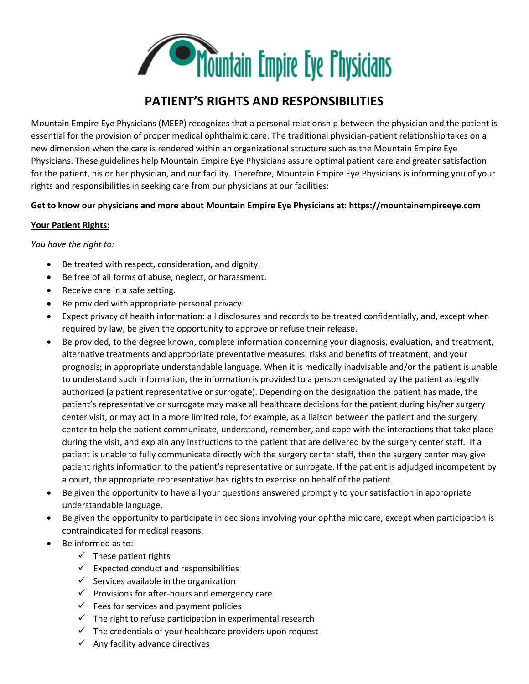

# **PATIENT'S RIGHTS AND RESPONSIBILITIES**

Mountain Empire Eye Physicians (MEEP) recognizes that a personal relationship between the physician and the patient is essential for the provision of proper medical ophthalmic care. The traditional physician-patient relationship takes on a new dimension when the care is rendered within an organizational structure such as the Mountain Empire Eye Physicians. These guidelines help Mountain Empire Eye Physicians assure optimal patient care and greater satisfaction for the patient, his or her physician, and our facility. Therefore, Mountain Empire Eye Physicians is informing you of your rights and responsibilities in seeking care from our physicians at our facilities:

## **Get to know our physicians and more about Mountain Empire Eye Physicians at: https://mountainempireeye.com**

### **Your Patient Rights:**

*You have the right to:*

- Be treated with respect, consideration, and dignity.
- Be free of all forms of abuse, neglect, or harassment.
- Receive care in a safe setting.
- Be provided with appropriate personal privacy.
- Expect privacy of health information: all disclosures and records to be treated confidentially, and, except when required by law, be given the opportunity to approve or refuse their release.
- Be provided, to the degree known, complete information concerning your diagnosis, evaluation, and treatment, alternative treatments and appropriate preventative measures, risks and benefits of treatment, and your prognosis; in appropriate understandable language. When it is medically inadvisable and/or the patient is unable to understand such information, the information is provided to a person designated by the patient as legally authorized (a patient representative or surrogate). Depending on the designation the patient has made, the patient's representative or surrogate may make all healthcare decisions for the patient during his/her surgery center visit, or may act in a more limited role, for example, as a liaison between the patient and the surgery center to help the patient communicate, understand, remember, and cope with the interactions that take place during the visit, and explain any instructions to the patient that are delivered by the surgery center staff. If a patient is unable to fully communicate directly with the surgery center staff, then the surgery center may give patient rights information to the patient's representative or surrogate. If the patient is adjudged incompetent by a court, the appropriate representative has rights to exercise on behalf of the patient.
- Be given the opportunity to have all your questions answered promptly to your satisfaction in appropriate understandable language.
- Be given the opportunity to participate in decisions involving your ophthalmic care, except when participation is contraindicated for medical reasons.
- Be informed as to:
	- $\checkmark$  These patient rights
	- $\checkmark$  Expected conduct and responsibilities
	- $\checkmark$  Services available in the organization
	- $\checkmark$  Provisions for after-hours and emergency care
	- $\checkmark$  Fees for services and payment policies
	- $\checkmark$  The right to refuse participation in experimental research
	- $\checkmark$  The credentials of your healthcare providers upon request
	- $\checkmark$  Any facility advance directives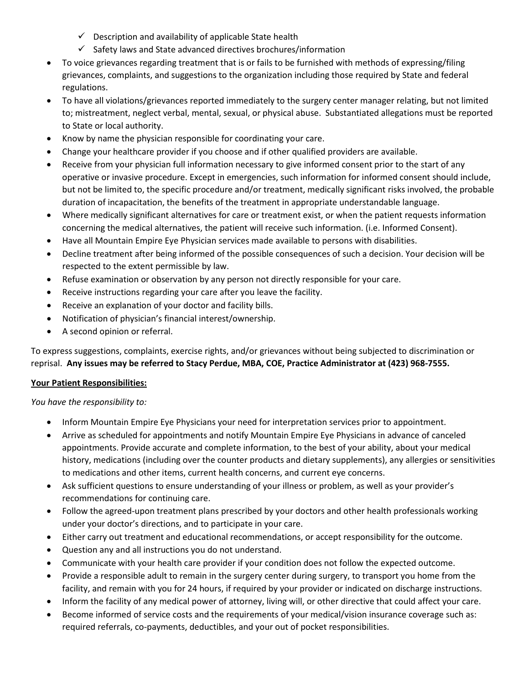- $\checkmark$  Description and availability of applicable State health
- $\checkmark$  Safety laws and State advanced directives brochures/information
- To voice grievances regarding treatment that is or fails to be furnished with methods of expressing/filing grievances, complaints, and suggestions to the organization including those required by State and federal regulations.
- To have all violations/grievances reported immediately to the surgery center manager relating, but not limited to; mistreatment, neglect verbal, mental, sexual, or physical abuse. Substantiated allegations must be reported to State or local authority.
- Know by name the physician responsible for coordinating your care.
- Change your healthcare provider if you choose and if other qualified providers are available.
- Receive from your physician full information necessary to give informed consent prior to the start of any operative or invasive procedure. Except in emergencies, such information for informed consent should include, but not be limited to, the specific procedure and/or treatment, medically significant risks involved, the probable duration of incapacitation, the benefits of the treatment in appropriate understandable language.
- Where medically significant alternatives for care or treatment exist, or when the patient requests information concerning the medical alternatives, the patient will receive such information. (i.e. Informed Consent).
- Have all Mountain Empire Eye Physician services made available to persons with disabilities.
- Decline treatment after being informed of the possible consequences of such a decision. Your decision will be respected to the extent permissible by law.
- Refuse examination or observation by any person not directly responsible for your care.
- Receive instructions regarding your care after you leave the facility.
- Receive an explanation of your doctor and facility bills.
- Notification of physician's financial interest/ownership.
- A second opinion or referral.

To express suggestions, complaints, exercise rights, and/or grievances without being subjected to discrimination or reprisal. **Any issues may be referred to Stacy Perdue, MBA, COE, Practice Administrator at (423) 968-7555.**

#### **Your Patient Responsibilities:**

*You have the responsibility to:*

- Inform Mountain Empire Eye Physicians your need for interpretation services prior to appointment.
- Arrive as scheduled for appointments and notify Mountain Empire Eye Physicians in advance of canceled appointments. Provide accurate and complete information, to the best of your ability, about your medical history, medications (including over the counter products and dietary supplements), any allergies or sensitivities to medications and other items, current health concerns, and current eye concerns.
- Ask sufficient questions to ensure understanding of your illness or problem, as well as your provider's recommendations for continuing care.
- Follow the agreed-upon treatment plans prescribed by your doctors and other health professionals working under your doctor's directions, and to participate in your care.
- Either carry out treatment and educational recommendations, or accept responsibility for the outcome.
- Question any and all instructions you do not understand.
- Communicate with your health care provider if your condition does not follow the expected outcome.
- Provide a responsible adult to remain in the surgery center during surgery, to transport you home from the facility, and remain with you for 24 hours, if required by your provider or indicated on discharge instructions.
- Inform the facility of any medical power of attorney, living will, or other directive that could affect your care.
- Become informed of service costs and the requirements of your medical/vision insurance coverage such as: required referrals, co-payments, deductibles, and your out of pocket responsibilities.